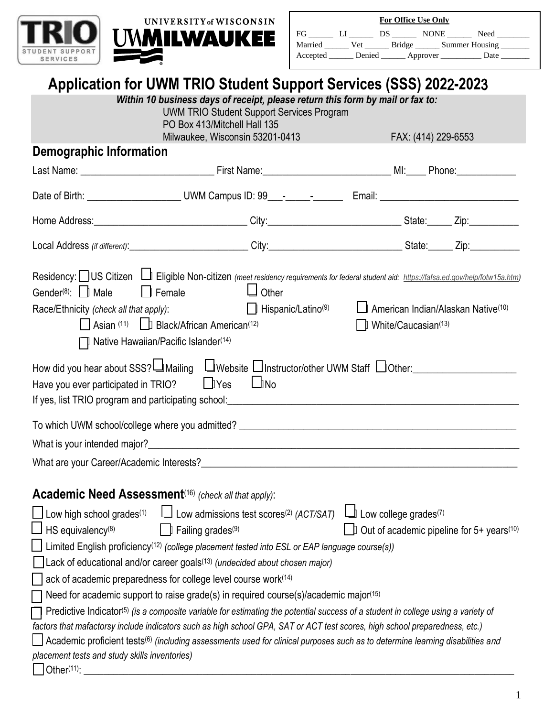

|          |         | <b>For Office Use Only</b>                                                                                                                                                                                                     |         |                       |
|----------|---------|--------------------------------------------------------------------------------------------------------------------------------------------------------------------------------------------------------------------------------|---------|-----------------------|
| FG       | - 151 - | DS and the set of the set of the set of the set of the set of the set of the set of the set of the set of the set of the set of the set of the set of the set of the set of the set of the set of the set of the set of the se | NONE NO | Need                  |
| Married  | Vet     |                                                                                                                                                                                                                                |         | Bridge Summer Housing |
| Accepted |         | Denied _________ Approver ________                                                                                                                                                                                             |         | Date                  |

## **Application for UWM TRIO Student Support Services (SSS) 202**2**-202**3

|                                                                                                                                                      | <b>TRESPORTED TO A BUILD AND ARRAIG AND AND A BUILD AND THE LATE.</b><br>Within 10 business days of receipt, please return this form by mail or fax to:<br><b>UWM TRIO Student Support Services Program</b>                                          |                                                                                                 |
|------------------------------------------------------------------------------------------------------------------------------------------------------|------------------------------------------------------------------------------------------------------------------------------------------------------------------------------------------------------------------------------------------------------|-------------------------------------------------------------------------------------------------|
|                                                                                                                                                      | PO Box 413/Mitchell Hall 135                                                                                                                                                                                                                         |                                                                                                 |
|                                                                                                                                                      | Milwaukee, Wisconsin 53201-0413                                                                                                                                                                                                                      | FAX: (414) 229-6553                                                                             |
| <b>Demographic Information</b>                                                                                                                       |                                                                                                                                                                                                                                                      |                                                                                                 |
|                                                                                                                                                      |                                                                                                                                                                                                                                                      |                                                                                                 |
|                                                                                                                                                      |                                                                                                                                                                                                                                                      |                                                                                                 |
|                                                                                                                                                      |                                                                                                                                                                                                                                                      |                                                                                                 |
|                                                                                                                                                      |                                                                                                                                                                                                                                                      |                                                                                                 |
| $\Box$ Female<br>Gender <sup>(8)</sup> :   Male<br>Race/Ethnicity (check all that apply):<br>$\Box$ Native Hawaiian/Pacific Islander <sup>(14)</sup> | Residency: US Citizen   Eligible Non-citizen (meet residency requirements for federal student aid: https://fafsa.ed.gov/help/fotw15a.htm)<br>$\Box$ Other<br>  Hispanic/Latino <sup>(9)</sup><br>Asian (11) [ Black/African American <sup>(12)</sup> | $\Box$ American Indian/Alaskan Native <sup>(10)</sup><br>$\Box$ White/Caucasian <sup>(13)</sup> |
| Have you ever participated in TRIO? Lives LiNo                                                                                                       | How did you hear about SSS? IMailing LIWebsite DInstructor/other UWM Staff DOther:                                                                                                                                                                   |                                                                                                 |
|                                                                                                                                                      |                                                                                                                                                                                                                                                      |                                                                                                 |
|                                                                                                                                                      |                                                                                                                                                                                                                                                      |                                                                                                 |
|                                                                                                                                                      | What are your Career/Academic Interests?<br>and the contract of the contract of the contract of the contract of the contract of the contract of the contract of the contract of the contract of the contract of the contract of                      |                                                                                                 |
|                                                                                                                                                      |                                                                                                                                                                                                                                                      |                                                                                                 |
| <b>Academic Need Assessment</b> <sup>(16)</sup> (check all that apply):                                                                              |                                                                                                                                                                                                                                                      |                                                                                                 |
| Low high school grades <sup>(1)</sup>                                                                                                                | Low admissions test scores <sup>(2)</sup> (ACT/SAT)                                                                                                                                                                                                  | $\Box$ Low college grades <sup>(7)</sup>                                                        |
| HS equivalency <sup>(8)</sup>                                                                                                                        | Failing grades <sup>(9)</sup>                                                                                                                                                                                                                        | $\Box$ Out of academic pipeline for 5+ years <sup>(10)</sup>                                    |
|                                                                                                                                                      | Limited English proficiency <sup>(12)</sup> (college placement tested into ESL or EAP language course(s))                                                                                                                                            |                                                                                                 |
|                                                                                                                                                      | Lack of educational and/or career goals <sup>(13)</sup> (undecided about chosen major)                                                                                                                                                               |                                                                                                 |
|                                                                                                                                                      | ack of academic preparedness for college level course work <sup>(14)</sup>                                                                                                                                                                           |                                                                                                 |
|                                                                                                                                                      | Need for academic support to raise grade(s) in required course(s)/academic major(15)                                                                                                                                                                 |                                                                                                 |
|                                                                                                                                                      | Predictive Indicator <sup>(5)</sup> (is a composite variable for estimating the potential success of a student in college using a variety of                                                                                                         |                                                                                                 |
|                                                                                                                                                      | factors that mafactorsy include indicators such as high school GPA, SAT or ACT test scores, high school preparedness, etc.)                                                                                                                          |                                                                                                 |
|                                                                                                                                                      | Academic proficient tests <sup>(6)</sup> (including assessments used for clinical purposes such as to determine learning disabilities and                                                                                                            |                                                                                                 |
| placement tests and study skills inventories)                                                                                                        |                                                                                                                                                                                                                                                      |                                                                                                 |
| Other(11):                                                                                                                                           |                                                                                                                                                                                                                                                      |                                                                                                 |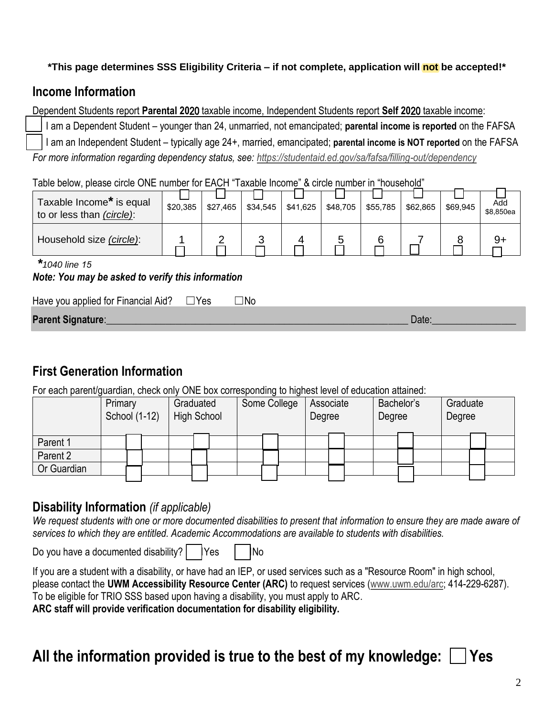#### **\*This page determines SSS Eligibility Criteria – if not complete, application will not be accepted!\***

### **Income Information**

Dependent Students report **Parental 20**20 taxable income, Independent Students report **Self 20**20 taxable income:

☐ I am a Dependent Student – younger than 24, unmarried, not emancipated; **parental income is reported** on the FAFSA ☐ I am an Independent Student – typically age 24+, married, emancipated; **parental income is NOT reported** on the FAFSA *For more information regarding dependency status, see: https://studentaid.ed.gov/sa/fafsa/filling-out/dependency*

Table below, please circle ONE number for EACH "Taxable Income" & circle number in "household"

| Taxable Income* is equal<br>to or less than (circle): | \$20,385 | \$27,465 | \$34.545 | \$41,625 | \$48,705 | \$55,785 | \$62,865 | \$69.945 | Add<br>\$8,850ea |
|-------------------------------------------------------|----------|----------|----------|----------|----------|----------|----------|----------|------------------|
| Household size (circle):                              |          |          |          |          |          |          |          |          |                  |

*\*1040 line 15*

#### *Note: You may be asked to verify this information*

| Have you applied for Financial Aid? $\square$ Yes | $\Box$ No |       |
|---------------------------------------------------|-----------|-------|
| Parent Signature:                                 |           | Date. |
|                                                   |           |       |

## **First Generation Information**

For each parent/guardian, check only ONE box corresponding to highest level of education attained:

|             | Primary<br>School (1-12) |  |  | Graduated<br><b>High School</b> |  | Some College |  |  | Associate<br>Degree |  |  | Bachelor's<br>Degree |  |  | Graduate<br>Degree |  |  |  |
|-------------|--------------------------|--|--|---------------------------------|--|--------------|--|--|---------------------|--|--|----------------------|--|--|--------------------|--|--|--|
| Parent 1    |                          |  |  |                                 |  |              |  |  |                     |  |  |                      |  |  |                    |  |  |  |
| Parent 2    |                          |  |  |                                 |  |              |  |  |                     |  |  |                      |  |  |                    |  |  |  |
| Or Guardian |                          |  |  |                                 |  |              |  |  |                     |  |  |                      |  |  |                    |  |  |  |
|             |                          |  |  |                                 |  |              |  |  |                     |  |  |                      |  |  |                    |  |  |  |

### **Disability Information** *(if applicable)*

We request students with one or more documented disabilities to present that information to ensure they are made aware of *services to which they are entitled. Academic Accommodations are available to students with disabilities.*

Do you have a documented disability? | Yes | INo

If you are a student with a disability, or have had an IEP, or used services such as a "Resource Room" in high school, please contact the **UWM Accessibility Resource Center (ARC)** to request services (www.uwm.edu/arc; 414-229-6287). To be eligible for TRIO SSS based upon having a disability, you must apply to ARC. **ARC staff will provide verification documentation for disability eligibility.**

# **All the information provided is true to the best of my knowledge:** ☐ **Yes**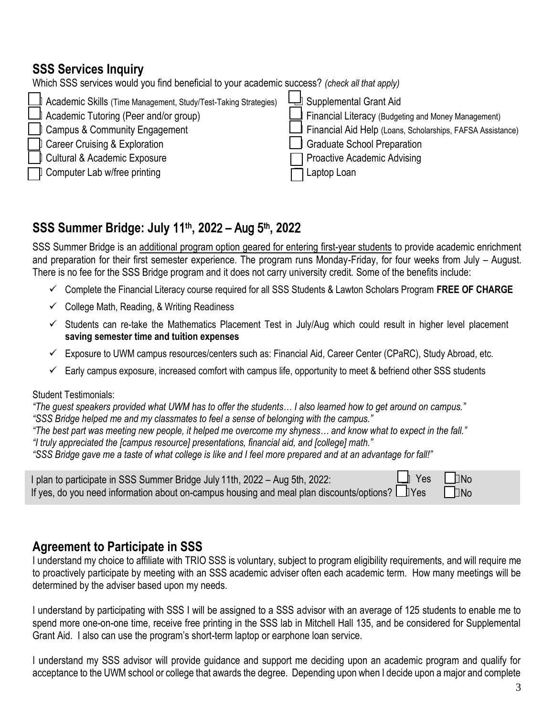### **SSS Services Inquiry**

Which SSS services would you find beneficial to your academic success? *(check all that apply)*

| Academic Skills (Time Management, Study/Test-Taking Strategies) | Supplemental Grant Aid                                     |
|-----------------------------------------------------------------|------------------------------------------------------------|
| Academic Tutoring (Peer and/or group)                           | Financial Literacy (Budgeting and Money Management)        |
| $\Box$ Campus & Community Engagement                            | Financial Aid Help (Loans, Scholarships, FAFSA Assistance) |
| <b>Career Cruising &amp; Exploration</b>                        | Graduate School Preparation                                |
| Cultural & Academic Exposure                                    | <b>Proactive Academic Advising</b>                         |
| Computer Lab w/free printing                                    | Laptop Loan                                                |

### **SSS Summer Bridge: July** 11 **th , 202**2 **–** Aug 5 **t**h **, 202**2

SSS Summer Bridge is an additional program option geared for entering first-year students to provide academic enrichment and preparation for their first semester experience. The program runs Monday-Friday, for four weeks from July – August. There is no fee for the SSS Bridge program and it does not carry university credit. Some of the benefits include:

- ✓ Complete the Financial Literacy course required for all SSS Students & Lawton Scholars Program **FREE OF CHARGE**
- $\checkmark$  College Math, Reading, & Writing Readiness
- ✓ Students can re-take the Mathematics Placement Test in July/Aug which could result in higher level placement **saving semester time and tuition expenses**
- $\checkmark$  Exposure to UWM campus resources/centers such as: Financial Aid, Career Center (CPaRC), Study Abroad, etc.
- $\checkmark$  Early campus exposure, increased comfort with campus life, opportunity to meet & befriend other SSS students

#### Student Testimonials:

*"The guest speakers provided what UWM has to offer the students… I also learned how to get around on campus." "SSS Bridge helped me and my classmates to feel a sense of belonging with the campus."*

*"The best part was meeting new people, it helped me overcome my shyness… and know what to expect in the fall."*

*"I truly appreciated the [campus resource] presentations, financial aid, and [college] math."*

*"SSS Bridge gave me a taste of what college is like and I feel more prepared and at an advantage for fall!"*

| I plan to participate in SSS Summer Bridge July 11th, 2022 - Aug 5th, 2022:                    | $\Box$ Yes $\Box$ No |           |
|------------------------------------------------------------------------------------------------|----------------------|-----------|
| If yes, do you need information about on-campus housing and meal plan discounts/options? Ludes |                      | $\Box$ No |

### **Agreement to Participate in SSS**

I understand my choice to affiliate with TRIO SSS is voluntary, subject to program eligibility requirements, and will require me to proactively participate by meeting with an SSS academic adviser often each academic term. How many meetings will be determined by the adviser based upon my needs.

I understand by participating with SSS I will be assigned to a SSS advisor with an average of 125 students to enable me to spend more one-on-one time, receive free printing in the SSS lab in Mitchell Hall 135, and be considered for Supplemental Grant Aid. I also can use the program's short-term laptop or earphone loan service.

I understand my SSS advisor will provide guidance and support me deciding upon an academic program and qualify for acceptance to the UWM school or college that awards the degree. Depending upon when I decide upon a major and complete